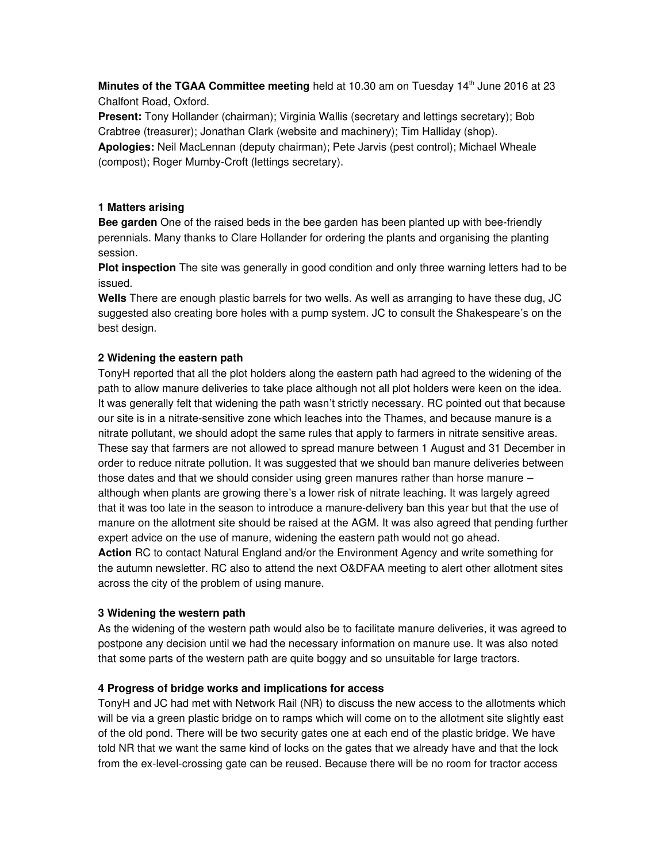**Minutes of the TGAA Committee meeting** held at 10.30 am on Tuesday 14th June 2016 at 23 Chalfont Road, Oxford.

Present: Tony Hollander (chairman); Virginia Wallis (secretary and lettings secretary); Bob Crabtree (treasurer); Jonathan Clark (website and machinery); Tim Halliday (shop).

Apologies: Neil MacLennan (deputy chairman); Pete Jarvis (pest control); Michael Wheale (compost); Roger Mumby-Croft (lettings secretary).

## 1 Matters arising

Bee garden One of the raised beds in the bee garden has been planted up with bee-friendly perennials. Many thanks to Clare Hollander for ordering the plants and organising the planting session.

Plot inspection The site was generally in good condition and only three warning letters had to be issued.

Wells There are enough plastic barrels for two wells. As well as arranging to have these dug, JC suggested also creating bore holes with a pump system. JC to consult the Shakespeare's on the best design.

## 2 Widening the eastern path

TonyH reported that all the plot holders along the eastern path had agreed to the widening of the path to allow manure deliveries to take place although not all plot holders were keen on the idea. It was generally felt that widening the path wasn't strictly necessary. RC pointed out that because our site is in a nitrate-sensitive zone which leaches into the Thames, and because manure is a nitrate pollutant, we should adopt the same rules that apply to farmers in nitrate sensitive areas. These say that farmers are not allowed to spread manure between 1 August and 31 December in order to reduce nitrate pollution. It was suggested that we should ban manure deliveries between those dates and that we should consider using green manures rather than horse manure although when plants are growing there's a lower risk of nitrate leaching. It was largely agreed that it was too late in the season to introduce a manure-delivery ban this year but that the use of manure on the allotment site should be raised at the AGM. It was also agreed that pending further expert advice on the use of manure, widening the eastern path would not go ahead. Action RC to contact Natural England and/or the Environment Agency and write something for

the autumn newsletter. RC also to attend the next O&DFAA meeting to alert other allotment sites across the city of the problem of using manure.

#### 3 Widening the western path

As the widening of the western path would also be to facilitate manure deliveries, it was agreed to postpone any decision until we had the necessary information on manure use. It was also noted that some parts of the western path are quite boggy and so unsuitable for large tractors.

#### 4 Progress of bridge works and implications for access

TonyH and JC had met with Network Rail (NR) to discuss the new access to the allotments which will be via a green plastic bridge on to ramps which will come on to the allotment site slightly east of the old pond. There will be two security gates one at each end of the plastic bridge. We have told NR that we want the same kind of locks on the gates that we already have and that the lock from the ex-level-crossing gate can be reused. Because there will be no room for tractor access